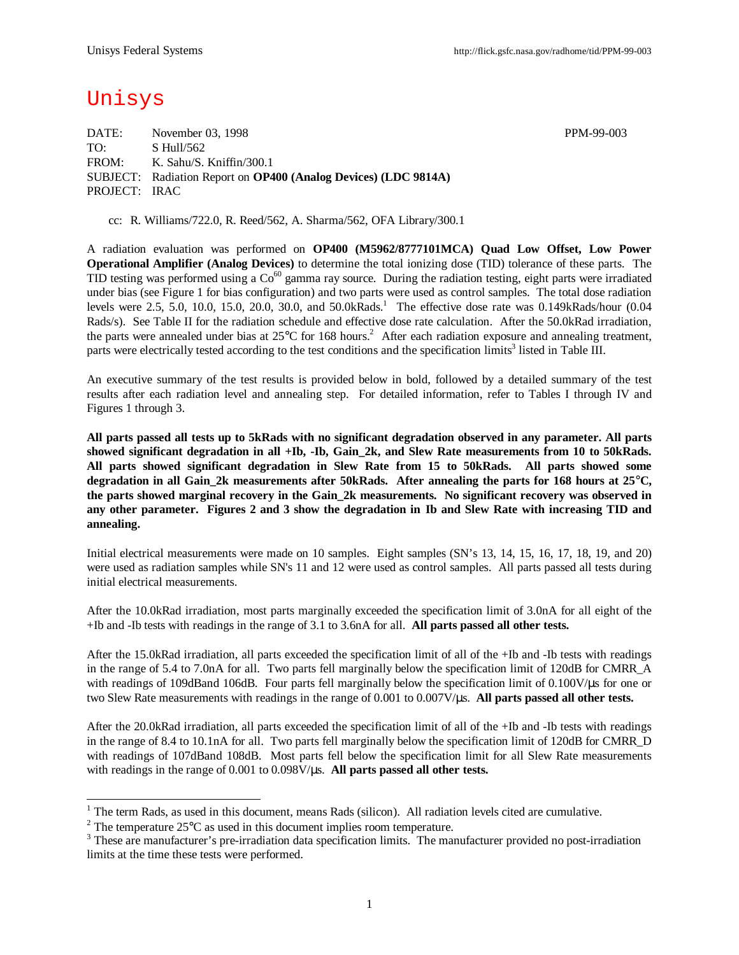# Unisys

l

DATE: November 03, 1998 PPM-99-003 TO: S Hull/562 FROM: K. Sahu/S. Kniffin/300.1 SUBJECT: Radiation Report on **OP400 (Analog Devices) (LDC 9814A)** PROJECT: IRAC

cc: R. Williams/722.0, R. Reed/562, A. Sharma/562, OFA Library/300.1

A radiation evaluation was performed on **OP400 (M5962/8777101MCA) Quad Low Offset, Low Power Operational Amplifier (Analog Devices)** to determine the total ionizing dose (TID) tolerance of these parts. The TID testing was performed using a  $Co^{60}$  gamma ray source. During the radiation testing, eight parts were irradiated under bias (see Figure 1 for bias configuration) and two parts were used as control samples. The total dose radiation levels were 2.5, 5.0, 10.0, 15.0, 20.0, 30.0, and 50.0kRads.<sup>1</sup> The effective dose rate was 0.149kRads/hour  $(0.04)$ Rads/s). See Table II for the radiation schedule and effective dose rate calculation. After the 50.0kRad irradiation, the parts were annealed under bias at  $25^{\circ}$ C for 168 hours.<sup>2</sup> After each radiation exposure and annealing treatment, parts were electrically tested according to the test conditions and the specification limits<sup>3</sup> listed in Table III.

An executive summary of the test results is provided below in bold, followed by a detailed summary of the test results after each radiation level and annealing step. For detailed information, refer to Tables I through IV and Figures 1 through 3.

**All parts passed all tests up to 5kRads with no significant degradation observed in any parameter. All parts showed significant degradation in all +Ib, -Ib, Gain\_2k, and Slew Rate measurements from 10 to 50kRads. All parts showed significant degradation in Slew Rate from 15 to 50kRads. All parts showed some degradation in all Gain\_2k measurements after 50kRads. After annealing the parts for 168 hours at 25°C, the parts showed marginal recovery in the Gain\_2k measurements. No significant recovery was observed in any other parameter. Figures 2 and 3 show the degradation in Ib and Slew Rate with increasing TID and annealing.**

Initial electrical measurements were made on 10 samples. Eight samples (SN's 13, 14, 15, 16, 17, 18, 19, and 20) were used as radiation samples while SN's 11 and 12 were used as control samples. All parts passed all tests during initial electrical measurements.

After the 10.0kRad irradiation, most parts marginally exceeded the specification limit of 3.0nA for all eight of the +Ib and -Ib tests with readings in the range of 3.1 to 3.6nA for all. **All parts passed all other tests.**

After the 15.0kRad irradiation, all parts exceeded the specification limit of all of the +Ib and -Ib tests with readings in the range of 5.4 to 7.0nA for all. Two parts fell marginally below the specification limit of 120dB for CMRR A with readings of 109dBand 106dB. Four parts fell marginally below the specification limit of 0.100V/µs for one or two Slew Rate measurements with readings in the range of 0.001 to 0.007V/μs. **All parts passed all other tests.**

After the 20.0kRad irradiation, all parts exceeded the specification limit of all of the +Ib and -Ib tests with readings in the range of 8.4 to 10.1nA for all. Two parts fell marginally below the specification limit of 120dB for CMRR\_D with readings of 107dBand 108dB. Most parts fell below the specification limit for all Slew Rate measurements with readings in the range of 0.001 to 0.098V/μs. **All parts passed all other tests.**

 $1$  The term Rads, as used in this document, means Rads (silicon). All radiation levels cited are cumulative.

<sup>&</sup>lt;sup>2</sup> The temperature  $25^{\circ}$ C as used in this document implies room temperature.

 $3$  These are manufacturer's pre-irradiation data specification limits. The manufacturer provided no post-irradiation limits at the time these tests were performed.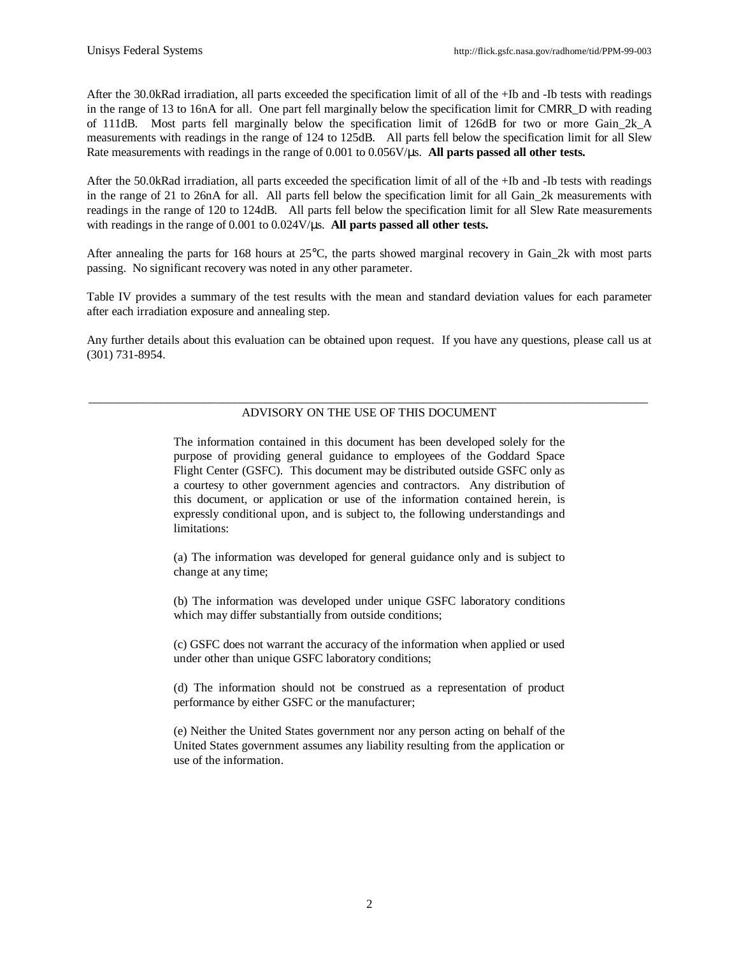After the 30.0kRad irradiation, all parts exceeded the specification limit of all of the +Ib and -Ib tests with readings in the range of 13 to 16nA for all. One part fell marginally below the specification limit for CMRR\_D with reading of 111dB. Most parts fell marginally below the specification limit of 126dB for two or more Gain\_2k\_A measurements with readings in the range of 124 to 125dB. All parts fell below the specification limit for all Slew Rate measurements with readings in the range of 0.001 to 0.056V/μs. **All parts passed all other tests.**

After the 50.0kRad irradiation, all parts exceeded the specification limit of all of the +Ib and -Ib tests with readings in the range of 21 to 26nA for all. All parts fell below the specification limit for all Gain\_2k measurements with readings in the range of 120 to 124dB. All parts fell below the specification limit for all Slew Rate measurements with readings in the range of 0.001 to 0.024V/μs. **All parts passed all other tests.**

After annealing the parts for 168 hours at  $25^{\circ}$ C, the parts showed marginal recovery in Gain 2k with most parts passing. No significant recovery was noted in any other parameter.

Table IV provides a summary of the test results with the mean and standard deviation values for each parameter after each irradiation exposure and annealing step.

Any further details about this evaluation can be obtained upon request. If you have any questions, please call us at (301) 731-8954.

### \_\_\_\_\_\_\_\_\_\_\_\_\_\_\_\_\_\_\_\_\_\_\_\_\_\_\_\_\_\_\_\_\_\_\_\_\_\_\_\_\_\_\_\_\_\_\_\_\_\_\_\_\_\_\_\_\_\_\_\_\_\_\_\_\_\_\_\_\_\_\_\_\_\_\_\_\_\_\_\_\_\_\_\_\_\_\_\_\_\_\_\_ ADVISORY ON THE USE OF THIS DOCUMENT

The information contained in this document has been developed solely for the purpose of providing general guidance to employees of the Goddard Space Flight Center (GSFC). This document may be distributed outside GSFC only as a courtesy to other government agencies and contractors. Any distribution of this document, or application or use of the information contained herein, is expressly conditional upon, and is subject to, the following understandings and limitations:

(a) The information was developed for general guidance only and is subject to change at any time;

(b) The information was developed under unique GSFC laboratory conditions which may differ substantially from outside conditions;

(c) GSFC does not warrant the accuracy of the information when applied or used under other than unique GSFC laboratory conditions;

(d) The information should not be construed as a representation of product performance by either GSFC or the manufacturer;

(e) Neither the United States government nor any person acting on behalf of the United States government assumes any liability resulting from the application or use of the information.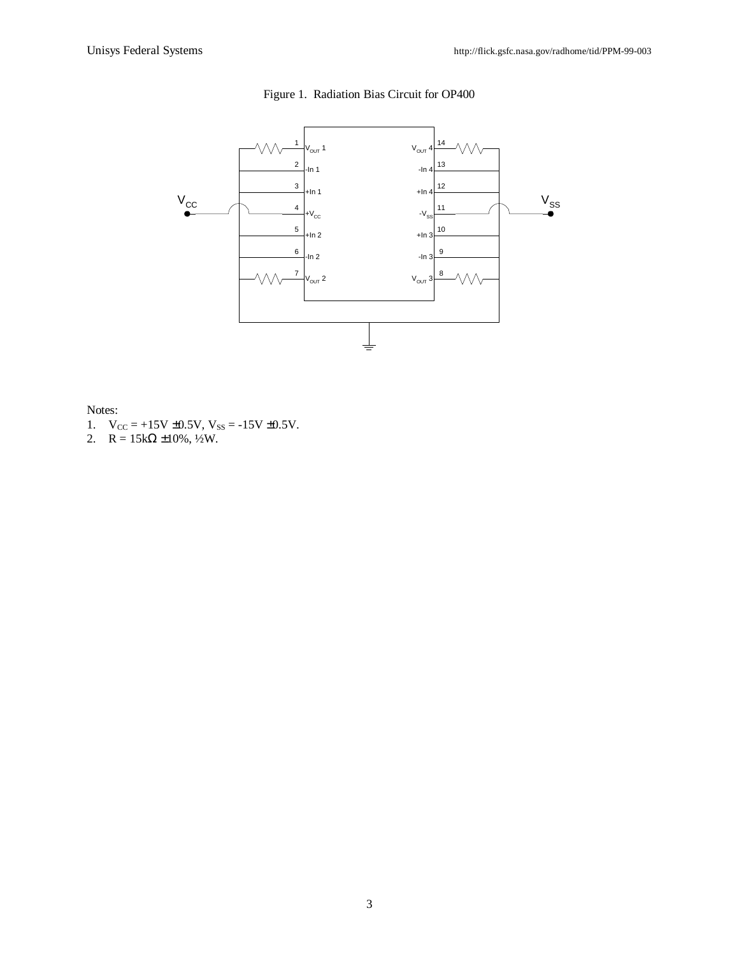

## Figure 1. Radiation Bias Circuit for OP400

Notes:

- 1.  $V_{CC} = +15V \pm 0.5V$ ,  $V_{SS} = -15V \pm 0.5V$ .
- 2.  $R = 15k\Omega \pm 10\%, \frac{1}{2}W$ .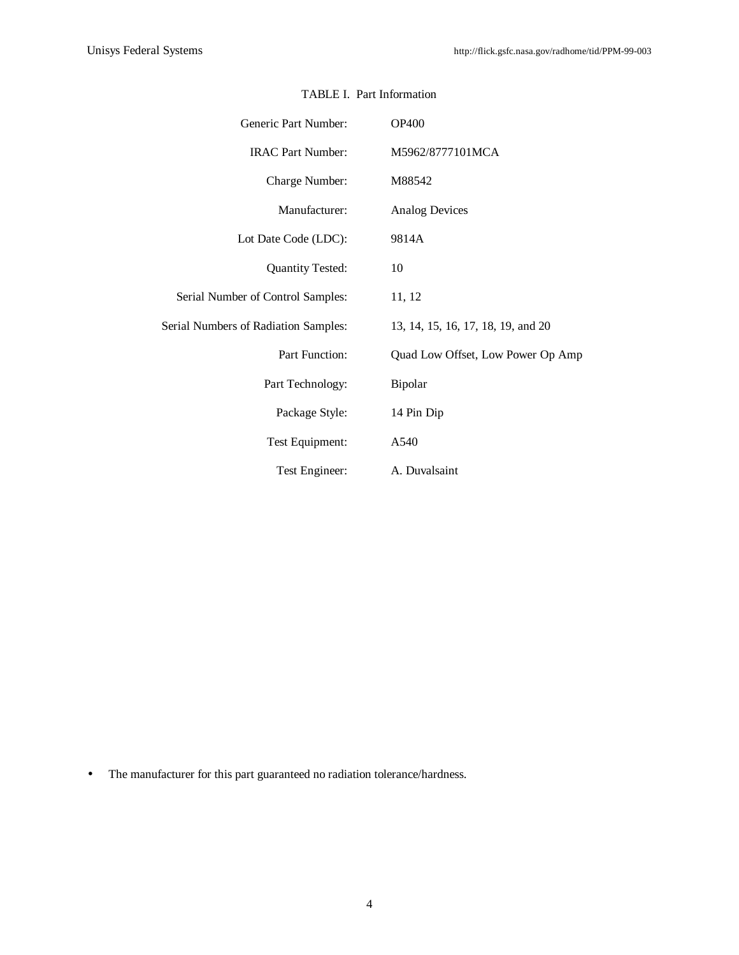| Generic Part Number:                 | <b>OP400</b>                       |
|--------------------------------------|------------------------------------|
| <b>IRAC Part Number:</b>             | M5962/8777101MCA                   |
| Charge Number:                       | M88542                             |
| Manufacturer:                        | <b>Analog Devices</b>              |
| Lot Date Code (LDC):                 | 9814A                              |
| <b>Quantity Tested:</b>              | 10                                 |
| Serial Number of Control Samples:    | 11, 12                             |
| Serial Numbers of Radiation Samples: | 13, 14, 15, 16, 17, 18, 19, and 20 |
| Part Function:                       | Quad Low Offset, Low Power Op Amp  |
| Part Technology:                     | Bipolar                            |
| Package Style:                       | 14 Pin Dip                         |
| Test Equipment:                      | A540                               |
| Test Engineer:                       | A. Duvalsaint                      |

### TABLE I. Part Information

• The manufacturer for this part guaranteed no radiation tolerance/hardness.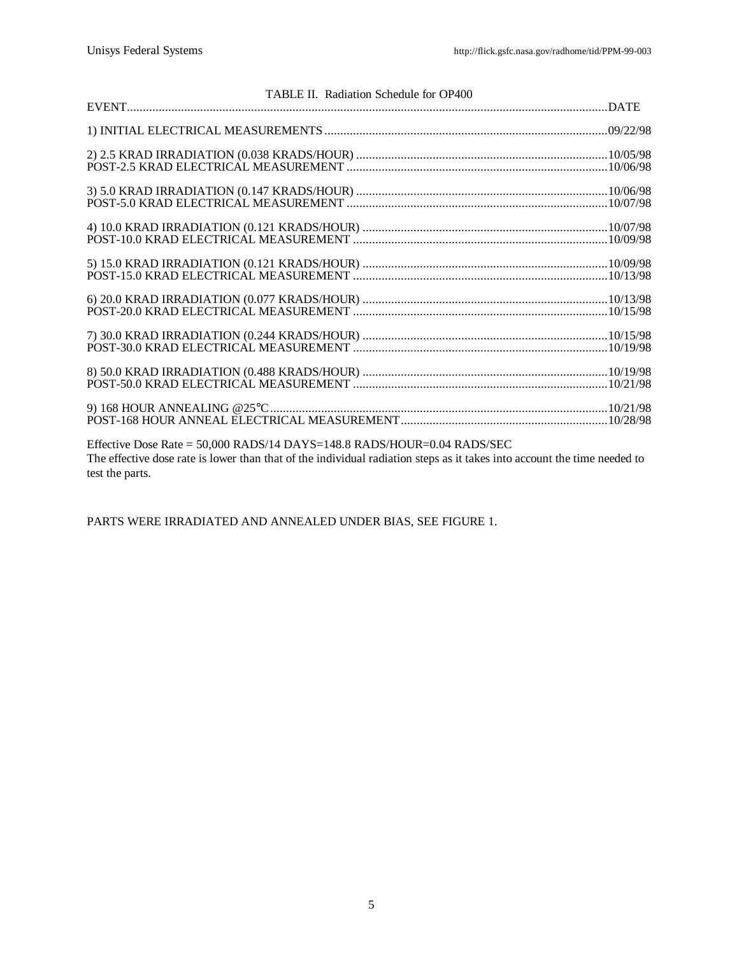| TABLE II. Radiation Schedule for OP400                                                                                   |  |
|--------------------------------------------------------------------------------------------------------------------------|--|
|                                                                                                                          |  |
|                                                                                                                          |  |
|                                                                                                                          |  |
|                                                                                                                          |  |
|                                                                                                                          |  |
|                                                                                                                          |  |
|                                                                                                                          |  |
|                                                                                                                          |  |
|                                                                                                                          |  |
|                                                                                                                          |  |
|                                                                                                                          |  |
|                                                                                                                          |  |
|                                                                                                                          |  |
|                                                                                                                          |  |
|                                                                                                                          |  |
|                                                                                                                          |  |
|                                                                                                                          |  |
|                                                                                                                          |  |
| Effective Dose Rate = 50,000 RADS/14 DAYS=148.8 RADS/HOUR=0.04 RADS/SEC                                                  |  |
| The effective dose rate is lower than that of the individual radiation steps as it takes into account the time needed to |  |
| test the parts.                                                                                                          |  |

PARTS WERE IRRADIATED AND ANNEALED UNDER BIAS, SEE FIGURE 1.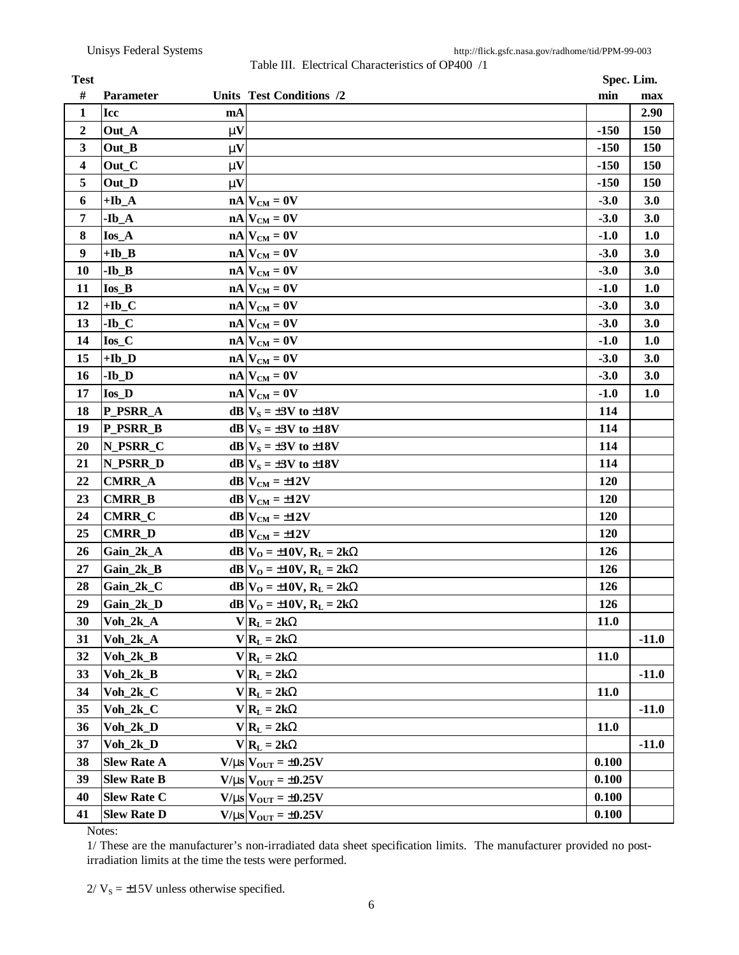Table III. Electrical Characteristics of OP400 /1

| <b>Test</b>      |                    |              |                                      |             | Spec. Lim. |
|------------------|--------------------|--------------|--------------------------------------|-------------|------------|
| #                | Parameter          |              | Units Test Conditions /2             | min         | max        |
| $\mathbf{1}$     | Icc                | mA           |                                      |             | 2.90       |
| 2                | Out_A              | mV           |                                      | $-150$      | 150        |
| 3                | Out_B              | $\mathbf{m}$ |                                      | $-150$      | 150        |
| 4                | Out_C              | $\mathbf{m}$ |                                      | $-150$      | 150        |
| 5                | Out_D              | $\mathbf{m}$ |                                      | $-150$      | 150        |
| 6                | $+Ib_A$            |              | $nA$ $V_{CM} = 0V$                   | $-3.0$      | 3.0        |
| 7                | $-Ib_A$            |              | $nA$ $V_{CM} = 0V$                   | $-3.0$      | 3.0        |
| 8                | $I$ os_A           |              | $nA$ $V_{CM} = 0V$                   | $-1.0$      | 1.0        |
| $\boldsymbol{9}$ | $+$ <b>Ib_B</b>    |              | $nA$ $V_{CM} = 0V$                   | $-3.0$      | 3.0        |
| 10               | $-Ib$ <sub>B</sub> |              | $nA$ $V_{CM} = 0V$                   | $-3.0$      | 3.0        |
| 11               | $I$ os_ $B$        |              | $nA$ $V_{CM} = 0V$                   | $-1.0$      | 1.0        |
| 12               | $+Ib_C$            |              | $nA$ $V_{CM} = 0V$                   | $-3.0$      | 3.0        |
| 13               | $-Ib_C$            |              | $nA$ $V_{CM} = 0V$                   | $-3.0$      | 3.0        |
| 14               | $I$ os $C$         |              | $nA$ $V_{CM} = 0V$                   | $-1.0$      | 1.0        |
| 15               | $+Ib_D$            |              | $nA$ $V_{CM} = 0V$                   | $-3.0$      | 3.0        |
| 16               | $-Ib_D$            |              | $nA$ $V_{CM} = 0V$                   | $-3.0$      | 3.0        |
| 17               | $I$ os $D$         |              | $nA$ $V_{CM} = 0V$                   | $-1.0$      | 1.0        |
| 18               | P PSRR A           |              | $dB V_s = \pm 3V$ to $\pm 18V$       | 114         |            |
| 19               | P_PSRR_B           |              | $dB V_S = \pm 3V$ to $\pm 18V$       | 114         |            |
| 20               | N_PSRR_C           |              | $dB V_S = \pm 3V$ to $\pm 18V$       | 114         |            |
| 21               | N_PSRR_D           |              | $dB V_S = \pm 3V$ to $\pm 18V$       | 114         |            |
| 22               | <b>CMRR_A</b>      |              | $dB V_{CM} = \pm 12V$                | 120         |            |
| 23               | <b>CMRR_B</b>      |              | $dB$ V <sub>CM</sub> = $\pm$ 12V     | 120         |            |
| 24               | <b>CMRR_C</b>      |              | $dB$ $V_{CM} = \pm 12V$              | 120         |            |
| 25               | <b>CMRR_D</b>      |              | $dB V_{CM} = \pm 12V$                | 120         |            |
| 26               | Gain_2k_A          |              | $dB V_{O} = \pm 10V, R_{L} = 2kW$    | 126         |            |
| 27               | Gain_2k_B          |              | $dB V_{O} = \pm 10V$ , $R_{L} = 2kW$ | 126         |            |
| 28               | Gain_2k_C          |              | $dB V_{O} = \pm 10V$ , $R_{L} = 2kW$ | 126         |            |
| 29               | Gain_2k_D          |              | $dB V_{O} = \pm 10V$ , $R_{L} = 2kW$ | 126         |            |
| 30               | $Voh_2k_A$         |              | $V R_L = 2kW$                        | 11.0        |            |
| 31               | $Voh_2k_A$         |              | $V R_L = 2kW$                        |             | $-11.0$    |
| 32               | $Voh_2k_B$         |              | $V R_L = 2kW$                        | <b>11.0</b> |            |
| 33               | $Voh_2k_B$         |              | $V R_L = 2kW$                        |             | $-11.0$    |
| 34               | $Voh_2k_C$         |              | $V R_L = 2kW$                        | <b>11.0</b> |            |
| 35               | $Voh_2k_C$         |              | $V R_L = 2kW$                        |             | $-11.0$    |
| 36               | $Voh_2k_D$         |              | $V R_L = 2kW$                        | 11.0        |            |
| 37               | $Voh_2k_D$         |              | $V R_L = 2kW$                        |             | $-11.0$    |
| 38               | <b>Slew Rate A</b> |              | $V/ms$ $V_{OUT} = \pm 0.25V$         | 0.100       |            |
| 39               | <b>Slew Rate B</b> |              | $V/ms$ $V_{OUT} = \pm 0.25V$         | 0.100       |            |
| 40               | <b>Slew Rate C</b> |              | $V/ms$ $V_{OUT} = \pm 0.25V$         | 0.100       |            |
| 41               | <b>Slew Rate D</b> |              | $V/ms$ $V_{OUT} = \pm 0.25V$         | 0.100       |            |

Notes:

1/ These are the manufacturer's non-irradiated data sheet specification limits. The manufacturer provided no postirradiation limits at the time the tests were performed.

 $2/V_s = \pm 15V$  unless otherwise specified.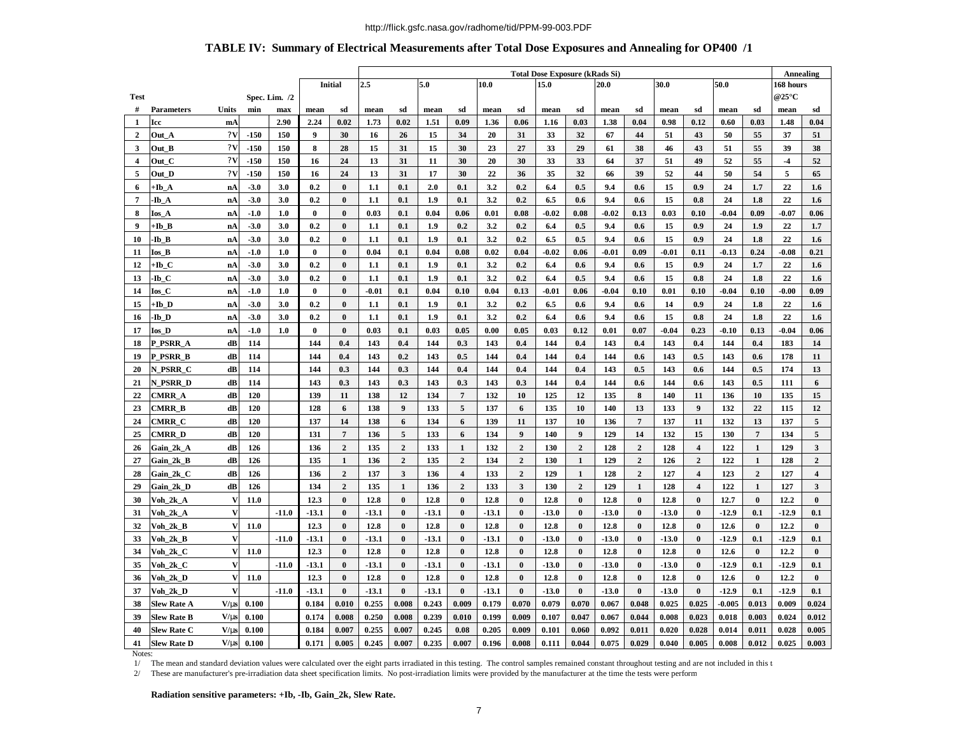### **TABLE IV: Summary of Electrical Measurements after Total Dose Exposures and Annealing for OP400 /1**

|                         |                    |              |        |               |          |                | <b>Total Dose Exposure (kRads Si)</b> |                |         |                  |              |                |         |                  |              |                | Annealing |                         |          |              |                     |                         |
|-------------------------|--------------------|--------------|--------|---------------|----------|----------------|---------------------------------------|----------------|---------|------------------|--------------|----------------|---------|------------------|--------------|----------------|-----------|-------------------------|----------|--------------|---------------------|-------------------------|
|                         |                    |              |        |               |          | <b>Initial</b> | 5.0<br>2.5                            |                |         |                  | 10.0<br>15.0 |                |         |                  | 30.0<br>20.0 |                |           | 50.0                    |          |              | 168 hours           |                         |
| <b>Test</b>             |                    |              |        | Spec. Lim. /2 |          |                |                                       |                |         |                  |              |                |         |                  |              |                |           |                         |          |              | @25 $\rm ^{\circ}C$ |                         |
| #                       | Parameters         | Units        | min    | max           | mean     | sd             | mean                                  | sd             | mean    | sd               | mean         | sd             | mean    | sd               | mean         | sd             | mean      | sd                      | mean     | sd           | mean                | sd                      |
| 1                       | Icc                | mA           |        | 2.90          | 2.24     | 0.02           | 1.73                                  | 0.02           | 1.51    | 0.09             | 1.36         | 0.06           | 1.16    | 0.03             | 1.38         | 0.04           | 0.98      | 0.12                    | 0.60     | 0.03         | 1.48                | 0.04                    |
| $\overline{2}$          | Out A              | 2V           | $-150$ | 150           | 9        | 30             | 16                                    | 26             | 15      | 34               | 20           | 31             | 33      | 32               | 67           | 44             | 51        | 43                      | 50       | 55           | 37                  | 51                      |
| 3                       | Out B              | 2V           | $-150$ | 150           | 8        | 28             | 15                                    | 31             | 15      | 30               | 23           | 27             | 33      | 29               | 61           | 38             | 46        | 43                      | 51       | 55           | 39                  | 38                      |
| $\overline{\mathbf{4}}$ | Out C              | 2V           | $-150$ | 150           | 16       | 24             | 13                                    | 31             | 11      | 30               | 20           | 30             | 33      | 33               | 64           | 37             | 51        | 49                      | 52       | 55           | $-4$                | 52                      |
| 5                       | Out D              | 2V           | $-150$ | 150           | 16       | 24             | 13                                    | 31             | 17      | 30               | 22           | 36             | 35      | 32               | 66           | 39             | 52        | 44                      | 50       | 54           | 5                   | 65                      |
| 6                       | +Ib A              | nA           | $-3.0$ | 3.0           | 0.2      | $\bf{0}$       | 1.1                                   | 0.1            | 2.0     | 0.1              | 3.2          | 0.2            | 6.4     | 0.5              | 9.4          | 0.6            | 15        | 0.9                     | 24       | 1.7          | 22                  | 1.6                     |
| $\overline{7}$          | -Ib A              | nA           | $-3.0$ | 3.0           | 0.2      | $\bf{0}$       | 1.1                                   | 0.1            | 1.9     | 0.1              | 3.2          | 0.2            | 6.5     | 0.6              | 9.4          | 0.6            | 15        | 0.8                     | 24       | 1.8          | 22                  | 1.6                     |
| 8                       | Ios A              | nA           | $-1.0$ | 1.0           | $\bf{0}$ | $\bf{0}$       | 0.03                                  | 0.1            | 0.04    | 0.06             | 0.01         | 0.08           | $-0.02$ | 0.08             | $-0.02$      | 0.13           | 0.03      | 0.10                    | $-0.04$  | 0.09         | $-0.07$             | 0.06                    |
| 9                       | +Ib B              | nA           | $-3.0$ | 3.0           | 0.2      | $\bf{0}$       | 1.1                                   | 0.1            | 1.9     | 0.2              | 3.2          | 0.2            | 6.4     | 0.5              | 9.4          | 0.6            | 15        | 0.9                     | 24       | 1.9          | 22                  | 1.7                     |
| 10                      | Ib B               | nA           | $-3.0$ | 3.0           | 0.2      | $\bf{0}$       | 1.1                                   | 0.1            | 1.9     | 0.1              | 3.2          | 0.2            | 6.5     | 0.5              | 9.4          | 0.6            | 15        | 0.9                     | 24       | 1.8          | 22                  | 1.6                     |
| 11                      | Ios B              | nA           | $-1.0$ | 1.0           | $\bf{0}$ | $\bf{0}$       | 0.04                                  | 0.1            | 0.04    | 0.08             | 0.02         | 0.04           | $-0.02$ | 0.06             | $-0.01$      | 0.09           | $-0.01$   | 0.11                    | $-0.13$  | 0.24         | $-0.08$             | 0.21                    |
| 12                      | +Ib C              | nA           | $-3.0$ | 3.0           | 0.2      | $\bf{0}$       | 1.1                                   | 0.1            | 1.9     | 0.1              | 3.2          | 0.2            | 6.4     | 0.6              | 9.4          | 0.6            | 15        | 0.9                     | 24       | 1.7          | 22                  | 1.6                     |
| 13                      | -Ib C              | nA           | $-3.0$ | 3.0           | 0.2      | $\bf{0}$       | 1.1                                   | 0.1            | 1.9     | 0.1              | 3,2          | 0.2            | 6.4     | 0.5              | 9.4          | 0.6            | 15        | 0.8                     | 24       | 1.8          | 22                  | 1.6                     |
| 14                      | <b>Ios</b> C       | nA           | $-1.0$ | 1.0           | $\bf{0}$ | $\bf{0}$       | $-0.01$                               | 0.1            | 0.04    | 0.10             | 0.04         | 0.13           | $-0.01$ | 0.06             | $-0.04$      | 0.10           | 0.01      | 0.10                    | $-0.04$  | 0.10         | $-0.00$             | 0.09                    |
| 15                      | +Ib D              | nA           | $-3.0$ | 3.0           | 0.2      | $\bf{0}$       | 1.1                                   | 0.1            | 1.9     | 0.1              | 3.2          | 0.2            | 6.5     | 0.6              | 9.4          | 0.6            | 14        | 0.9                     | 24       | 1.8          | 22                  | 1.6                     |
| 16                      | -Ib D              | nA           | $-3.0$ | 3.0           | 0.2      | $\bf{0}$       | 1.1                                   | 0.1            | 1.9     | 0.1              | 3.2          | 0.2            | 6.4     | 0.6              | 9.4          | 0.6            | 15        | 0.8                     | 24       | 1.8          | 22                  | 1.6                     |
| 17                      | <b>Ios D</b>       | nA           | $-1.0$ | 1.0           | $\bf{0}$ | $\bf{0}$       | 0.03                                  | 0.1            | 0.03    | 0.05             | 0.00         | 0.05           | 0.03    | 0.12             | 0.01         | 0.07           | $-0.04$   | 0.23                    | $-0.10$  | 0.13         | $-0.04$             | 0.06                    |
| 18                      | P PSRR A           | dB           | 114    |               | 144      | 0.4            | 143                                   | 0.4            | 144     | 0.3              | 143          | 0.4            | 144     | 0.4              | 143          | 0.4            | 143       | 0.4                     | 144      | 0.4          | 183                 | 14                      |
| 19                      | P_PSRR_B           | dB           | 114    |               | 144      | 0.4            | 143                                   | 0.2            | 143     | $0.5\,$          | 144          | 0.4            | 144     | 0.4              | 144          | 0.6            | 143       | 0.5                     | 143      | 0.6          | 178                 | 11                      |
| 20                      | N_PSRR_C           | dB           | 114    |               | 144      | 0.3            | 144                                   | 0.3            | 144     | 0.4              | 144          | 0.4            | 144     | 0.4              | 143          | 0.5            | 143       | 0.6                     | 144      | 0.5          | 174                 | 13                      |
| 21                      | N_PSRR_D           | dB           | 114    |               | 143      | 0.3            | 143                                   | 0.3            | 143     | 0.3              | 143          | 0.3            | 144     | 0.4              | 144          | 0.6            | 144       | 0.6                     | 143      | 0.5          | 111                 | 6                       |
| 22                      | CMRR A             | dB           | 120    |               | 139      | 11             | 138                                   | 12             | 134     | $\overline{7}$   | 132          | 10             | 125     | 12               | 135          | 8              | 140       | 11                      | 136      | 10           | 135                 | 15                      |
| 23                      | CMRR_B             | dB           | 120    |               | 128      | 6              | 138                                   | 9              | 133     | 5                | 137          | 6              | 135     | 10               | 140          | 13             | 133       | 9                       | 132      | 22           | 115                 | 12                      |
| 24                      | <b>CMRR_C</b>      | dB           | 120    |               | 137      | 14             | 138                                   | 6              | 134     | $\boldsymbol{6}$ | 139          | 11             | 137     | 10               | 136          | $\overline{7}$ | 137       | 11                      | 132      | 13           | 137                 | $\sqrt{5}$              |
| 25                      | CMRR D             | dB           | 120    |               | 131      | $\overline{7}$ | 136                                   | 5              | 133     | 6                | 134          | 9              | 140     | $\boldsymbol{9}$ | 129          | 14             | 132       | 15                      | 130      | 7            | 134                 | 5                       |
| 26                      | Gain_2k_A          | dB           | 126    |               | 136      | $\overline{2}$ | 135                                   | $\overline{2}$ | 133     | 1                | 132          | $\overline{2}$ | 130     | $\overline{2}$   | 128          | $\overline{2}$ | 128       | $\overline{\mathbf{4}}$ | 122      | 1            | 129                 | $\mathbf{3}$            |
| 27                      | Gain 2k B          | dB           | 126    |               | 135      | $\mathbf{1}$   | 136                                   | $\overline{2}$ | 135     | $\mathbf 2$      | 134          | $\mathbf{2}$   | 130     | $\mathbf{1}$     | 129          | $\overline{2}$ | 126       | $\mathbf 2$             | 122      | $\mathbf{1}$ | 128                 | $\overline{2}$          |
| 28                      | Gain_2k_C          | dB           | 126    |               | 136      | $\overline{2}$ | 137                                   | 3              | 136     | $\overline{4}$   | 133          | $\overline{2}$ | 129     | $\mathbf{1}$     | 128          | $\overline{2}$ | 127       | $\overline{\mathbf{4}}$ | 123      | $\mathbf{2}$ | 127                 | $\overline{\mathbf{4}}$ |
| 29                      | Gain_2k_D          | dB           | 126    |               | 134      | $\overline{2}$ | 135                                   | 1              | 136     | $\overline{2}$   | 133          | 3              | 130     | $\overline{2}$   | 129          | 1              | 128       | $\overline{\mathbf{4}}$ | 122      | 1            | 127                 | $\mathbf{3}$            |
| 30                      | Voh_2k_A           | V            | 11.0   |               | 12.3     | $\bf{0}$       | 12.8                                  | $\bf{0}$       | 12.8    | $\bf{0}$         | 12.8         | $\bf{0}$       | 12.8    | $\bf{0}$         | 12.8         | $\bf{0}$       | 12.8      | $\bf{0}$                | 12.7     | $\bf{0}$     | 12.2                | $\bf{0}$                |
| 31                      | Voh_2k_A           | V            |        | $-11.0$       | $-13.1$  | $\bf{0}$       | $-13.1$                               | $\bf{0}$       | $-13.1$ | $\bf{0}$         | $-13.1$      | $\bf{0}$       | $-13.0$ | $\bf{0}$         | $-13.0$      | $\bf{0}$       | $-13.0$   | $\bf{0}$                | $-12.9$  | 0.1          | $-12.9$             | 0.1                     |
| 32                      | Voh_2k_B           | V            | 11.0   |               | 12.3     | $\bf{0}$       | 12.8                                  | $\bf{0}$       | 12.8    | $\bf{0}$         | 12.8         | $\bf{0}$       | 12.8    | $\bf{0}$         | 12.8         | $\bf{0}$       | 12.8      | $\bf{0}$                | 12.6     | $\bf{0}$     | 12.2                | $\bf{0}$                |
| 33                      | Voh_2k_B           | $\mathbf{V}$ |        | $-11.0$       | $-13.1$  | $\bf{0}$       | $-13.1$                               | $\bf{0}$       | $-13.1$ | $\bf{0}$         | $-13.1$      | $\bf{0}$       | $-13.0$ | $\bf{0}$         | $-13.0$      | $\bf{0}$       | $-13.0$   | $\bf{0}$                | $-12.9$  | 0.1          | $-12.9$             | 0.1                     |
| 34                      | Voh_2k_C           | $\mathbf{V}$ | 11.0   |               | 12.3     | $\bf{0}$       | 12.8                                  | $\bf{0}$       | 12.8    | $\bf{0}$         | 12.8         | $\bf{0}$       | 12.8    | $\bf{0}$         | 12.8         | $\bf{0}$       | 12.8      | $\bf{0}$                | 12.6     | $\bf{0}$     | 12.2                | $\bf{0}$                |
| 35                      | Voh 2k C           | V            |        | $-11.0$       | $-13.1$  | $\bf{0}$       | $-13.1$                               | $\bf{0}$       | $-13.1$ | $\bf{0}$         | $-13.1$      | $\bf{0}$       | $-13.0$ | $\bf{0}$         | $-13.0$      | $\bf{0}$       | $-13.0$   | $\bf{0}$                | $-12.9$  | 0.1          | $-12.9$             | 0.1                     |
| 36                      | Voh 2k D           | $\mathbf{V}$ | 11.0   |               | 12.3     | $\bf{0}$       | 12.8                                  | $\bf{0}$       | 12.8    | $\bf{0}$         | 12.8         | $\bf{0}$       | 12.8    | $\bf{0}$         | 12.8         | $\bf{0}$       | 12.8      | $\bf{0}$                | 12.6     | $\bf{0}$     | 12.2                | $\bf{0}$                |
| 37                      | Voh 2k D           | $\mathbf{V}$ |        | $-11.0$       | $-13.1$  | $\bf{0}$       | $-13.1$                               | $\bf{0}$       | $-13.1$ | $\bf{0}$         | $-13.1$      | $\bf{0}$       | $-13.0$ | $\bf{0}$         | $-13.0$      | $\bf{0}$       | $-13.0$   | $\bf{0}$                | $-12.9$  | 0.1          | $-12.9$             | 0.1                     |
| 38                      | <b>Slew Rate A</b> | V/ms         | 0.100  |               | 0.184    | 0.010          | 0.255                                 | 0.008          | 0.243   | 0.009            | 0.179        | 0.070          | 0.079   | 0.070            | 0.067        | 0.048          | 0.025     | 0.025                   | $-0.005$ | 0.013        | 0.009               | 0.024                   |
| 39                      | <b>Slew Rate B</b> | V/ms         | 0.100  |               | 0.174    | 0.008          | 0.250                                 | 0.008          | 0.239   | 0.010            | 0.199        | 0.009          | 0.107   | 0.047            | 0.067        | 0.044          | 0.008     | 0.023                   | 0.018    | 0.003        | 0.024               | 0.012                   |
| 40                      |                    |              |        |               |          |                |                                       |                |         |                  |              |                |         |                  |              |                |           |                         |          |              |                     |                         |
|                         | <b>Slew Rate C</b> | V/ms         | 0.100  |               | 0.184    | 0.007          | 0.255                                 | 0.007          | 0.245   | 0.08             | 0.205        | 0.009          | 0.101   | 0.060            | 0.092        | 0.011          | 0.020     | 0.028                   | 0.014    | 0.011        | 0.028               | 0.005                   |

Notes:

1/ The mean and standard deviation values were calculated over the eight parts irradiated in this testing. The control samples remained constant throughout testing and are not included in this t

2/ These are manufacturer's pre-irradiation data sheet specification limits. No post-irradiation limits were provided by the manufacturer at the time the tests were performed.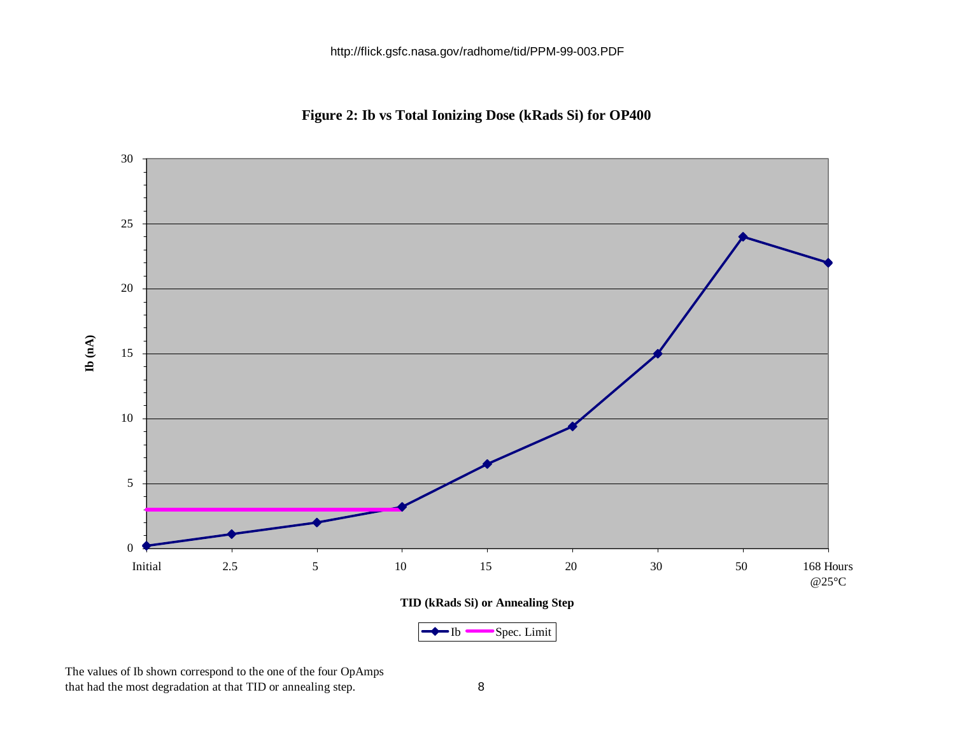**Figure 2: Ib vs Total Ionizing Dose (kRads Si) for OP400**



The values of Ib shown correspond to the one of the four OpAmps that had the most degradation at that TID or annealing step. 8